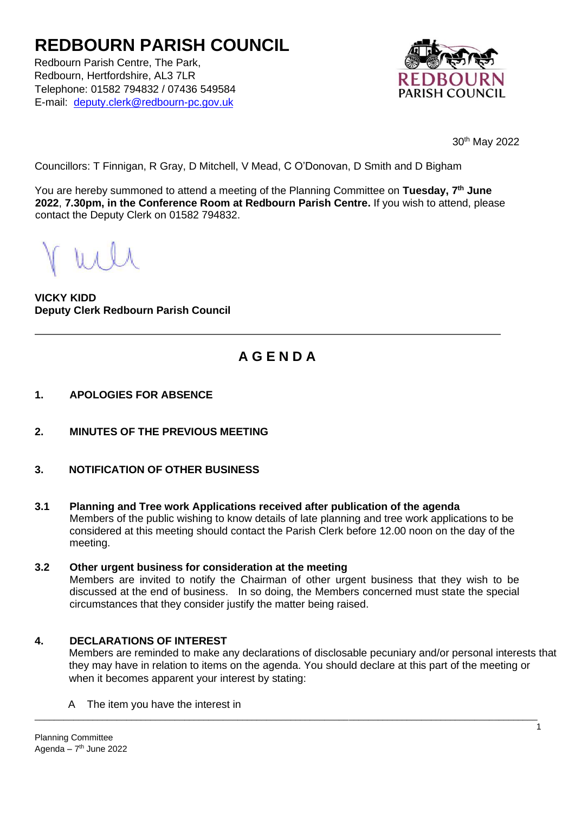# **REDBOURN PARISH COUNCIL**

Redbourn Parish Centre, The Park, Redbourn, Hertfordshire, AL3 7LR Telephone: 01582 794832 / 07436 549584 E-mail: deputy.clerk@redbourn-pc.gov.uk



30th May 2022

Councillors: T Finnigan, R Gray, D Mitchell, V Mead, C O'Donovan, D Smith and D Bigham

You are hereby summoned to attend a meeting of the Planning Committee on **Tuesday, 7 th June 2022**, **7.30pm, in the Conference Room at Redbourn Parish Centre.** If you wish to attend, please contact the Deputy Clerk on 01582 794832.

**VICKY KIDD Deputy Clerk Redbourn Parish Council**

# **A G E N D A**

- **1. APOLOGIES FOR ABSENCE**
- **2. MINUTES OF THE PREVIOUS MEETING**
- **3. NOTIFICATION OF OTHER BUSINESS**
- **3.1 Planning and Tree work Applications received after publication of the agenda** Members of the public wishing to know details of late planning and tree work applications to be considered at this meeting should contact the Parish Clerk before 12.00 noon on the day of the meeting.

### **3.2 Other urgent business for consideration at the meeting**

Members are invited to notify the Chairman of other urgent business that they wish to be discussed at the end of business. In so doing, the Members concerned must state the special circumstances that they consider justify the matter being raised.

\_\_\_\_\_\_\_\_\_\_\_\_\_\_\_\_\_\_\_\_\_\_\_\_\_\_\_\_\_\_\_\_\_\_\_\_\_\_\_\_\_\_\_\_\_\_\_\_\_\_\_\_\_\_\_\_\_\_\_\_\_\_\_\_\_\_\_\_\_\_\_\_\_\_\_\_\_\_\_\_\_\_\_\_\_\_\_\_\_\_\_\_\_\_\_\_\_\_\_\_\_\_\_\_

### **4. DECLARATIONS OF INTEREST**

Members are reminded to make any declarations of disclosable pecuniary and/or personal interests that they may have in relation to items on the agenda. You should declare at this part of the meeting or when it becomes apparent your interest by stating:

A The item you have the interest in

1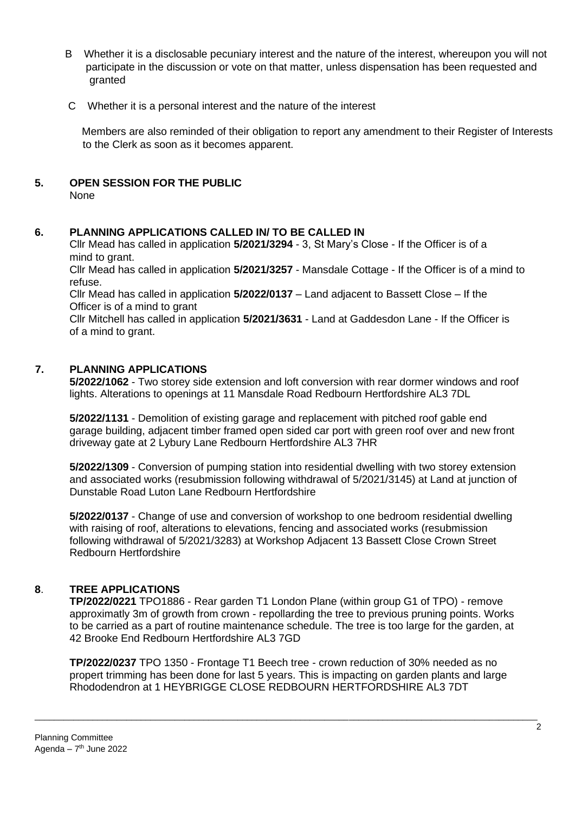- B Whether it is a disclosable pecuniary interest and the nature of the interest, whereupon you will not participate in the discussion or vote on that matter, unless dispensation has been requested and granted
- C Whether it is a personal interest and the nature of the interest

 Members are also reminded of their obligation to report any amendment to their Register of Interests to the Clerk as soon as it becomes apparent.

**5. OPEN SESSION FOR THE PUBLIC** 

None

# **6. PLANNING APPLICATIONS CALLED IN/ TO BE CALLED IN**

Cllr Mead has called in application **5/2021/3294** - 3, St Mary's Close - If the Officer is of a mind to grant.

Cllr Mead has called in application **5/2021/3257** - Mansdale Cottage - If the Officer is of a mind to refuse.

Cllr Mead has called in application **5/2022/0137** – Land adjacent to Bassett Close – If the Officer is of a mind to grant

Cllr Mitchell has called in application **5/2021/3631** - Land at Gaddesdon Lane - If the Officer is of a mind to grant.

# **7. PLANNING APPLICATIONS**

**5/2022/1062** - Two storey side extension and loft conversion with rear dormer windows and roof lights. Alterations to openings at 11 Mansdale Road Redbourn Hertfordshire AL3 7DL

**5/2022/1131** - Demolition of existing garage and replacement with pitched roof gable end garage building, adjacent timber framed open sided car port with green roof over and new front driveway gate at 2 Lybury Lane Redbourn Hertfordshire AL3 7HR

**5/2022/1309** - Conversion of pumping station into residential dwelling with two storey extension and associated works (resubmission following withdrawal of 5/2021/3145) at Land at junction of Dunstable Road Luton Lane Redbourn Hertfordshire

**5/2022/0137** - Change of use and conversion of workshop to one bedroom residential dwelling with raising of roof, alterations to elevations, fencing and associated works (resubmission following withdrawal of 5/2021/3283) at Workshop Adjacent 13 Bassett Close Crown Street Redbourn Hertfordshire

# **8**. **TREE APPLICATIONS**

**TP/2022/0221** TPO1886 - Rear garden T1 London Plane (within group G1 of TPO) - remove approximatly 3m of growth from crown - repollarding the tree to previous pruning points. Works to be carried as a part of routine maintenance schedule. The tree is too large for the garden, at 42 Brooke End Redbourn Hertfordshire AL3 7GD

**TP/2022/0237** TPO 1350 - Frontage T1 Beech tree - crown reduction of 30% needed as no propert trimming has been done for last 5 years. This is impacting on garden plants and large Rhododendron at 1 HEYBRIGGE CLOSE REDBOURN HERTFORDSHIRE AL3 7DT

\_\_\_\_\_\_\_\_\_\_\_\_\_\_\_\_\_\_\_\_\_\_\_\_\_\_\_\_\_\_\_\_\_\_\_\_\_\_\_\_\_\_\_\_\_\_\_\_\_\_\_\_\_\_\_\_\_\_\_\_\_\_\_\_\_\_\_\_\_\_\_\_\_\_\_\_\_\_\_\_\_\_\_\_\_\_\_\_\_\_\_\_\_\_\_\_\_\_\_\_\_\_\_\_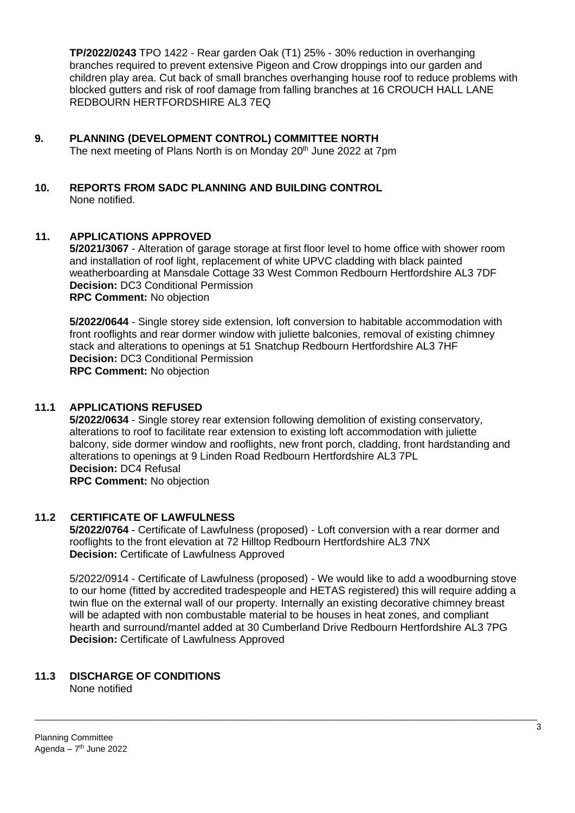**TP/2022/0243** TPO 1422 - Rear garden Oak (T1) 25% - 30% reduction in overhanging branches required to prevent extensive Pigeon and Crow droppings into our garden and children play area. Cut back of small branches overhanging house roof to reduce problems with blocked gutters and risk of roof damage from falling branches at 16 CROUCH HALL LANE REDBOURN HERTFORDSHIRE AL3 7EQ

- **9. PLANNING (DEVELOPMENT CONTROL) COMMITTEE NORTH**  The next meeting of Plans North is on Monday 20<sup>th</sup> June 2022 at 7pm
- **10. REPORTS FROM SADC PLANNING AND BUILDING CONTROL**  None notified.

# **11. APPLICATIONS APPROVED**

**5/2021/3067** - Alteration of garage storage at first floor level to home office with shower room and installation of roof light, replacement of white UPVC cladding with black painted weatherboarding at Mansdale Cottage 33 West Common Redbourn Hertfordshire AL3 7DF **Decision:** DC3 Conditional Permission **RPC Comment:** No objection

**5/2022/0644** - Single storey side extension, loft conversion to habitable accommodation with front rooflights and rear dormer window with juliette balconies, removal of existing chimney stack and alterations to openings at 51 Snatchup Redbourn Hertfordshire AL3 7HF **Decision:** DC3 Conditional Permission **RPC Comment:** No objection

# **11.1 APPLICATIONS REFUSED**

**5/2022/0634** - Single storey rear extension following demolition of existing conservatory, alterations to roof to facilitate rear extension to existing loft accommodation with juliette balcony, side dormer window and rooflights, new front porch, cladding, front hardstanding and alterations to openings at 9 Linden Road Redbourn Hertfordshire AL3 7PL **Decision:** DC4 Refusal **RPC Comment:** No objection

### **11.2 CERTIFICATE OF LAWFULNESS**

**5/2022/0764** - Certificate of Lawfulness (proposed) - Loft conversion with a rear dormer and rooflights to the front elevation at 72 Hilltop Redbourn Hertfordshire AL3 7NX **Decision:** Certificate of Lawfulness Approved

5/2022/0914 - Certificate of Lawfulness (proposed) - We would like to add a woodburning stove to our home (fitted by accredited tradespeople and HETAS registered) this will require adding a twin flue on the external wall of our property. Internally an existing decorative chimney breast will be adapted with non combustable material to be houses in heat zones, and compliant hearth and surround/mantel added at 30 Cumberland Drive Redbourn Hertfordshire AL3 7PG **Decision:** Certificate of Lawfulness Approved

# **11.3 DISCHARGE OF CONDITIONS**

None notified